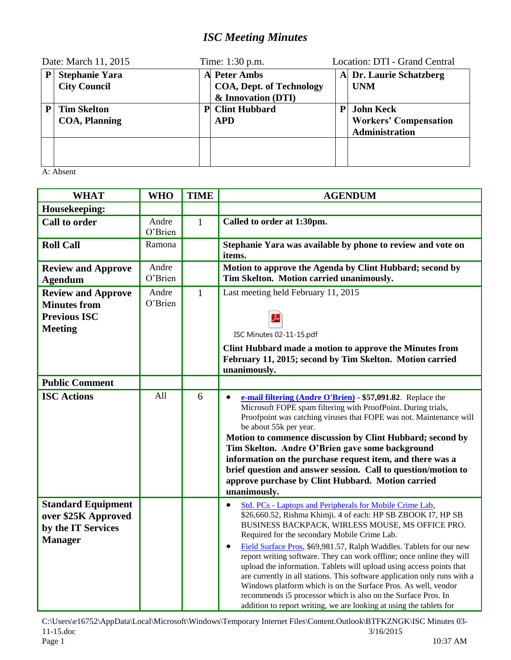## *ISC Meeting Minutes*

| Date: March 11, 2015 |                                              | Time: 1:30 p.m. |                                                                              |   | Location: DTI - Grand Central                                      |  |
|----------------------|----------------------------------------------|-----------------|------------------------------------------------------------------------------|---|--------------------------------------------------------------------|--|
| P                    | <b>Stephanie Yara</b><br><b>City Council</b> |                 | <b>A</b> Peter Ambs<br><b>COA, Dept. of Technology</b><br>& Innovation (DTI) |   | A Dr. Laurie Schatzberg<br><b>UNM</b>                              |  |
|                      | <b>Tim Skelton</b><br><b>COA, Planning</b>   | P               | <b>Clint Hubbard</b><br><b>APD</b>                                           | P | <b>John Keck</b><br><b>Workers' Compensation</b><br>Administration |  |
|                      |                                              |                 |                                                                              |   |                                                                    |  |

A: Absent

| <b>WHAT</b>                                                                               | <b>WHO</b>       | <b>TIME</b>  | <b>AGENDUM</b>                                                                                                                                                                                                                                                                                                                                                                                                                                                                                                                                                                                                                                                                                                                                                |
|-------------------------------------------------------------------------------------------|------------------|--------------|---------------------------------------------------------------------------------------------------------------------------------------------------------------------------------------------------------------------------------------------------------------------------------------------------------------------------------------------------------------------------------------------------------------------------------------------------------------------------------------------------------------------------------------------------------------------------------------------------------------------------------------------------------------------------------------------------------------------------------------------------------------|
| Housekeeping:                                                                             |                  |              |                                                                                                                                                                                                                                                                                                                                                                                                                                                                                                                                                                                                                                                                                                                                                               |
| <b>Call to order</b>                                                                      | Andre<br>O'Brien | $\mathbf{1}$ | Called to order at 1:30pm.                                                                                                                                                                                                                                                                                                                                                                                                                                                                                                                                                                                                                                                                                                                                    |
| <b>Roll Call</b>                                                                          | Ramona           |              | Stephanie Yara was available by phone to review and vote on<br>items.                                                                                                                                                                                                                                                                                                                                                                                                                                                                                                                                                                                                                                                                                         |
| <b>Review and Approve</b><br><b>Agendum</b>                                               | Andre<br>O'Brien |              | Motion to approve the Agenda by Clint Hubbard; second by<br>Tim Skelton. Motion carried unanimously.                                                                                                                                                                                                                                                                                                                                                                                                                                                                                                                                                                                                                                                          |
| <b>Review and Approve</b><br><b>Minutes from</b><br><b>Previous ISC</b><br><b>Meeting</b> | Andre<br>O'Brien | $\mathbf{1}$ | Last meeting held February 11, 2015<br>ISC Minutes 02-11-15.pdf<br>Clint Hubbard made a motion to approve the Minutes from<br>February 11, 2015; second by Tim Skelton. Motion carried<br>unanimously.                                                                                                                                                                                                                                                                                                                                                                                                                                                                                                                                                        |
| <b>Public Comment</b>                                                                     |                  |              |                                                                                                                                                                                                                                                                                                                                                                                                                                                                                                                                                                                                                                                                                                                                                               |
| <b>ISC Actions</b>                                                                        | All              | 6            | e-mail filtering (Andre O'Brien) - \$57,091.82. Replace the<br>$\bullet$<br>Microsoft FOPE spam filtering with ProofPoint. During trials,<br>Proofpoint was catching viruses that FOPE was not. Maintenance will<br>be about 55k per year.<br>Motion to commence discussion by Clint Hubbard; second by<br>Tim Skelton. Andre O'Brien gave some background<br>information on the purchase request item, and there was a<br>brief question and answer session. Call to question/motion to<br>approve purchase by Clint Hubbard. Motion carried<br>unanimously.                                                                                                                                                                                                 |
| <b>Standard Equipment</b><br>over \$25K Approved<br>by the IT Services<br><b>Manager</b>  |                  |              | Std. PCs - Laptops and Peripherals for Mobile Crime Lab,<br>$\bullet$<br>\$26,660.52, Rishma Khimji. 4 of each: HP SB ZBOOK I7, HP SB<br>BUSINESS BACKPACK, WIRLESS MOUSE, MS OFFICE PRO.<br>Required for the secondary Mobile Crime Lab.<br>Field Surface Pros, \$69,981.57, Ralph Waddles. Tablets for our new<br>٠<br>report writing software. They can work offline; once online they will<br>upload the information. Tablets will upload using access points that<br>are currently in all stations. This software application only runs with a<br>Windows platform which is on the Surface Pros. As well, vendor<br>recommends i5 processor which is also on the Surface Pros. In<br>addition to report writing, we are looking at using the tablets for |